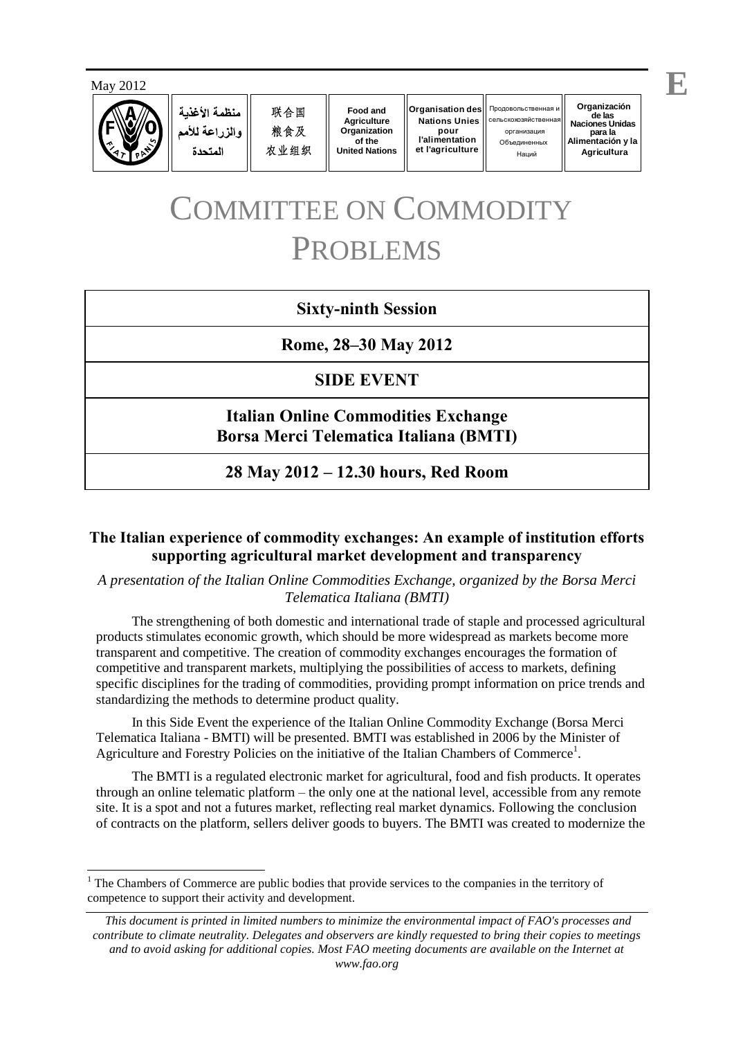

منظمة الأغذية والزراعة للأمم المتحدة

联合国 粮食及 农业组织

**Food and Agriculture Organization of the United Nations**

**Organisation des Nations Unies pour l'alimentation et l'agriculture**

О бъединенных Наций Продовольственная и cельскохозяйствен

**Organización de las Naciones Unidas** организация **para la Alimentación y la Agricultura**

## COMMITTEE ON COMMODITY PROBLEMS

## **Sixty-ninth Session**

**Rome, 28–30 May 2012**

## **SIDE EVENT**

**Italian Online Commodities Exchange Borsa Merci Telematica Italiana (BMTI)**

**28 May 2012 – 12.30 hours, Red Room**

## **The Italian experience of commodity exchanges: An example of institution efforts supporting agricultural market development and transparency**

*A presentation of the Italian Online Commodities Exchange, organized by the Borsa Merci Telematica Italiana (BMTI)*

The strengthening of both domestic and international trade of staple and processed agricultural products stimulates economic growth, which should be more widespread as markets become more transparent and competitive. The creation of commodity exchanges encourages the formation of competitive and transparent markets, multiplying the possibilities of access to markets, defining specific disciplines for the trading of commodities, providing prompt information on price trends and standardizing the methods to determine product quality.

In this Side Event the experience of the Italian Online Commodity Exchange (Borsa Merci Telematica Italiana - BMTI) will be presented. BMTI was established in 2006 by the Minister of Agriculture and Forestry Policies on the initiative of the Italian Chambers of Commerce<sup>1</sup>.

The BMTI is a regulated electronic market for agricultural, food and fish products. It operates through an online telematic platform – the only one at the national level, accessible from any remote site. It is a spot and not a futures market, reflecting real market dynamics. Following the conclusion of contracts on the platform, sellers deliver goods to buyers. The BMTI was created to modernize the

 $\overline{a}$ <sup>1</sup> The Chambers of Commerce are public bodies that provide services to the companies in the territory of competence to support their activity and development.

*This document is printed in limited numbers to minimize the environmental impact of FAO's processes and contribute to climate neutrality. Delegates and observers are kindly requested to bring their copies to meetings and to avoid asking for additional copies. Most FAO meeting documents are available on the Internet at www.fao.org*